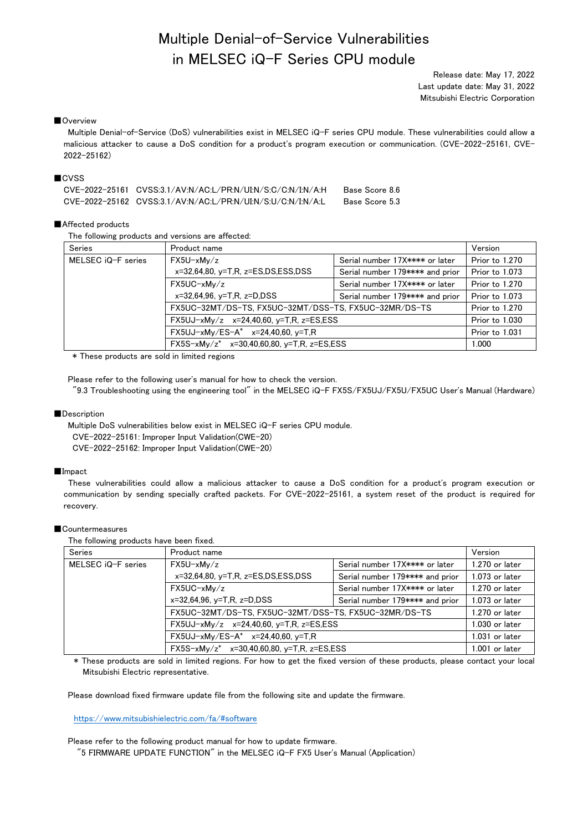# Multiple Denial-of-Service Vulnerabilities in MELSEC iQ-F Series CPU module

Release date: May 17, 2022 Last update date: May 31, 2022 Mitsubishi Electric Corporation

## ■Overview

Multiple Denial-of-Service (DoS) vulnerabilities exist in MELSEC iQ-F series CPU module. These vulnerabilities could allow a malicious attacker to cause a DoS condition for a product's program execution or communication. (CVE-2022-25161, CVE-2022-25162)

# ■CVSS

| CVE-2022-25161_CVSS:3.1/AV.N/AC.L/PR.N/UI.N/S:C/C.N/I.N/A.H_ | Base Score 8.6 |
|--------------------------------------------------------------|----------------|
| CVE-2022-25162 CVSS:3.1/AV:N/AC:L/PR:N/UI:N/S:U/C:N/I:N/A:L  | Base Score 5.3 |

## ■Affected products

The following products and versions are affected:

| Series             | Product name                                          |                                 | Version        |
|--------------------|-------------------------------------------------------|---------------------------------|----------------|
| MELSEC iQ-F series | $FX5U-xMv/z$                                          | Serial number 17X**** or later  | Prior to 1.270 |
|                    | $x=32,64,80$ , $y=T.R$ , $z=ES,DS,ESS, DSS$           | Serial number 179**** and prior | Prior to 1.073 |
|                    | $FX5UC-xMv/z$                                         | Serial number 17X**** or later  | Prior to 1.270 |
|                    | $x=32,64,96$ , $y=T$ , R, $z=D$ , DSS                 | Serial number 179**** and prior | Prior to 1.073 |
|                    | FX5UC-32MT/DS-TS, FX5UC-32MT/DSS-TS, FX5UC-32MR/DS-TS |                                 | Prior to 1.270 |
|                    | FX5UJ-xMy/z x=24,40,60, y=T,R, z=ES,ESS               |                                 | Prior to 1.030 |
|                    | FX5UJ-xMy/ES-A* x=24,40,60, y=T,R                     |                                 | Prior to 1.031 |
|                    | $FX5S-xMy/z^*$ $x=30,40,60,80, y=T,R, z=ES,ESS$       |                                 | 1.000          |

\* These products are sold in limited regions

Please refer to the following user's manual for how to check the version. "9.3 Troubleshooting using the engineering tool" in the MELSEC iQ-F FX5S/FX5UJ/FX5U/FX5UC User's Manual (Hardware)

#### ■Description

Multiple DoS vulnerabilities below exist in MELSEC iQ-F series CPU module.

CVE-2022-25161: Improper Input Validation(CWE-20)

CVE-2022-25162: Improper Input Validation(CWE-20)

## ■Impact

These vulnerabilities could allow a malicious attacker to cause a DoS condition for a product's program execution or communication by sending specially crafted packets. For CVE-2022-25161, a system reset of the product is required for recovery.

## ■ Countermeasures

The following products have been fixed.

| <b>Series</b>      | Product name                                          |                                 | Version          |
|--------------------|-------------------------------------------------------|---------------------------------|------------------|
| MELSEC iQ-F series | $FX5U-xMv/z$                                          | Serial number 17X**** or later  | $1.270$ or later |
|                    | $x=32,64,80, y=T.R.$ $z=ES,DS,ESS, DSS$               | Serial number 179**** and prior | $1.073$ or later |
|                    | $FX5UC-xMv/z$                                         | Serial number 17X**** or later  | $1.270$ or later |
|                    | $x=32,64,96$ , $y=T$ , R, $z=D$ , DSS                 | Serial number 179**** and prior | $1.073$ or later |
|                    | FX5UC-32MT/DS-TS, FX5UC-32MT/DSS-TS, FX5UC-32MR/DS-TS | $1.270$ or later                |                  |
|                    | $FX5UJ-xMy/z$ $x=24,40,60$ , $y=T.R$ , $z=ES,ESS$     | $1.030$ or later                |                  |
|                    | $FX5UJ-xMy/ES-A^*$ $x=24,40,60, y=T,R$                |                                 |                  |
|                    | $FX5S-xMy/z^*$ $x=30,40,60,80, y=T,R, z=ES,ESS$       |                                 | $1.001$ or later |

\* These products are sold in limited regions. For how to get the fixed version of these products, please contact your local Mitsubishi Electric representative.

Please download fixed firmware update file from the following site and update the firmware.

<https://www.mitsubishielectric.com/fa/#software>

Please refer to the following product manual for how to update firmware.

"5 FIRMWARE UPDATE FUNCTION" in the MELSEC iQ-F FX5 User's Manual (Application)